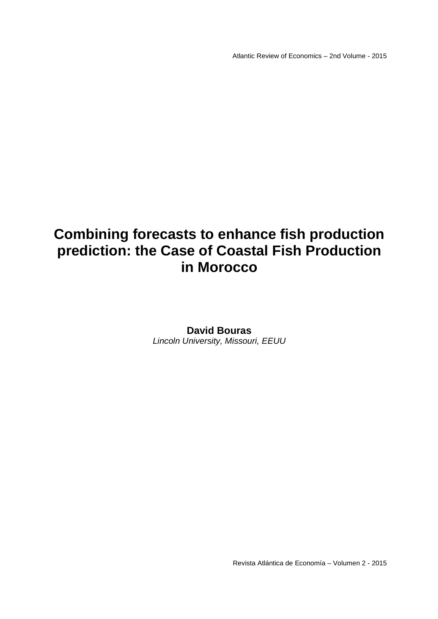Atlantic Review of Economics – 2nd Volume - 2015

# **Combining forecasts to enhance fish production prediction: the Case of Coastal Fish Production in Morocco**

# **David Bouras**  Lincoln University, Missouri, EEUU

Revista Atlántica de Economía – Volumen 2 - 2015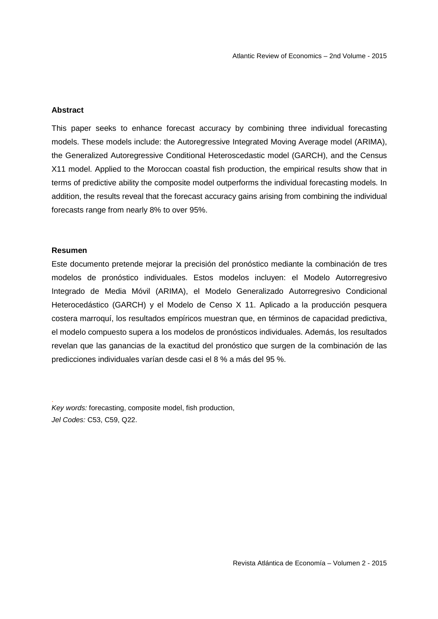## **Abstract**

This paper seeks to enhance forecast accuracy by combining three individual forecasting models. These models include: the Autoregressive Integrated Moving Average model (ARIMA), the Generalized Autoregressive Conditional Heteroscedastic model (GARCH), and the Census X11 model. Applied to the Moroccan coastal fish production, the empirical results show that in terms of predictive ability the composite model outperforms the individual forecasting models. In addition, the results reveal that the forecast accuracy gains arising from combining the individual forecasts range from nearly 8% to over 95%.

## **Resumen**

.

Este documento pretende mejorar la precisión del pronóstico mediante la combinación de tres modelos de pronóstico individuales. Estos modelos incluyen: el Modelo Autorregresivo Integrado de Media Móvil (ARIMA), el Modelo Generalizado Autorregresivo Condicional Heterocedástico (GARCH) y el Modelo de Censo X 11. Aplicado a la producción pesquera costera marroquí, los resultados empíricos muestran que, en términos de capacidad predictiva, el modelo compuesto supera a los modelos de pronósticos individuales. Además, los resultados revelan que las ganancias de la exactitud del pronóstico que surgen de la combinación de las predicciones individuales varían desde casi el 8 % a más del 95 %.

Key words: forecasting, composite model, fish production, Jel Codes: C53, C59, Q22.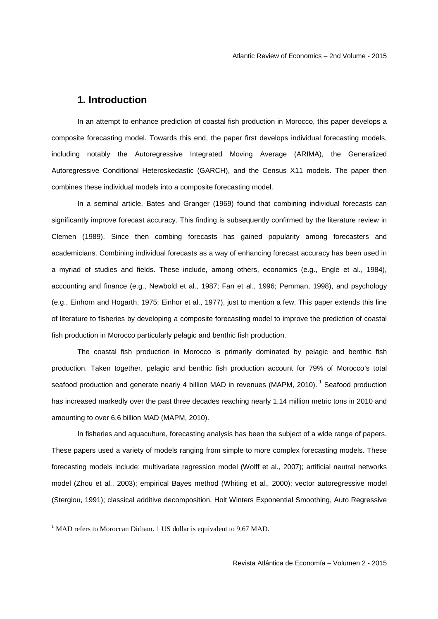# **1. Introduction**

 In an attempt to enhance prediction of coastal fish production in Morocco, this paper develops a composite forecasting model. Towards this end, the paper first develops individual forecasting models, including notably the Autoregressive Integrated Moving Average (ARIMA), the Generalized Autoregressive Conditional Heteroskedastic (GARCH), and the Census X11 models. The paper then combines these individual models into a composite forecasting model.

In a seminal article, Bates and Granger (1969) found that combining individual forecasts can significantly improve forecast accuracy. This finding is subsequently confirmed by the literature review in Clemen (1989). Since then combing forecasts has gained popularity among forecasters and academicians. Combining individual forecasts as a way of enhancing forecast accuracy has been used in a myriad of studies and fields. These include, among others, economics (e.g., Engle et al., 1984), accounting and finance (e.g., Newbold et al., 1987; Fan et al., 1996; Pemman, 1998), and psychology (e.g., Einhorn and Hogarth, 1975; Einhor et al., 1977), just to mention a few. This paper extends this line of literature to fisheries by developing a composite forecasting model to improve the prediction of coastal fish production in Morocco particularly pelagic and benthic fish production.

The coastal fish production in Morocco is primarily dominated by pelagic and benthic fish production. Taken together, pelagic and benthic fish production account for 79% of Morocco's total seafood production and generate nearly 4 billion MAD in revenues (MAPM, 2010).<sup>1</sup> Seafood production has increased markedly over the past three decades reaching nearly 1.14 million metric tons in 2010 and amounting to over 6.6 billion MAD (MAPM, 2010).

In fisheries and aquaculture, forecasting analysis has been the subject of a wide range of papers. These papers used a variety of models ranging from simple to more complex forecasting models. These forecasting models include: multivariate regression model (Wolff et al., 2007); artificial neutral networks model (Zhou et al., 2003); empirical Bayes method (Whiting et al., 2000); vector autoregressive model (Stergiou, 1991); classical additive decomposition, Holt Winters Exponential Smoothing, Auto Regressive

<u>.</u>

<sup>&</sup>lt;sup>1</sup> MAD refers to Moroccan Dirham. 1 US dollar is equivalent to 9.67 MAD.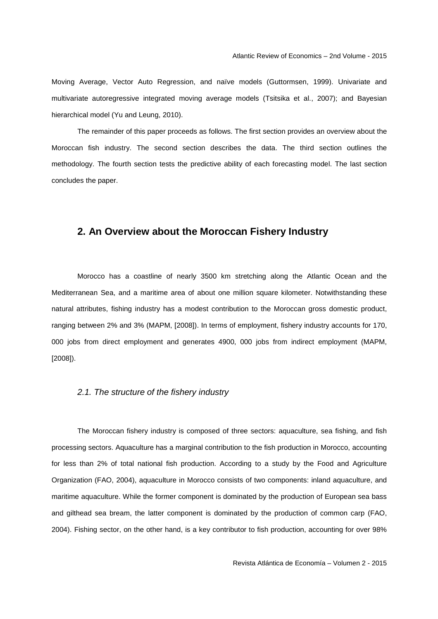Moving Average, Vector Auto Regression, and naïve models (Guttormsen, 1999). Univariate and multivariate autoregressive integrated moving average models (Tsitsika et al., 2007); and Bayesian hierarchical model (Yu and Leung, 2010).

The remainder of this paper proceeds as follows. The first section provides an overview about the Moroccan fish industry. The second section describes the data. The third section outlines the methodology. The fourth section tests the predictive ability of each forecasting model. The last section concludes the paper.

# **2. An Overview about the Moroccan Fishery Industry**

 Morocco has a coastline of nearly 3500 km stretching along the Atlantic Ocean and the Mediterranean Sea, and a maritime area of about one million square kilometer. Notwithstanding these natural attributes, fishing industry has a modest contribution to the Moroccan gross domestic product, ranging between 2% and 3% (MAPM, [2008]). In terms of employment, fishery industry accounts for 170, 000 jobs from direct employment and generates 4900, 000 jobs from indirect employment (MAPM, [2008]).

### 2.1. The structure of the fishery industry

The Moroccan fishery industry is composed of three sectors: aquaculture, sea fishing, and fish processing sectors. Aquaculture has a marginal contribution to the fish production in Morocco, accounting for less than 2% of total national fish production. According to a study by the Food and Agriculture Organization (FAO, 2004), aquaculture in Morocco consists of two components: inland aquaculture, and maritime aquaculture. While the former component is dominated by the production of European sea bass and gilthead sea bream, the latter component is dominated by the production of common carp (FAO, 2004). Fishing sector, on the other hand, is a key contributor to fish production, accounting for over 98%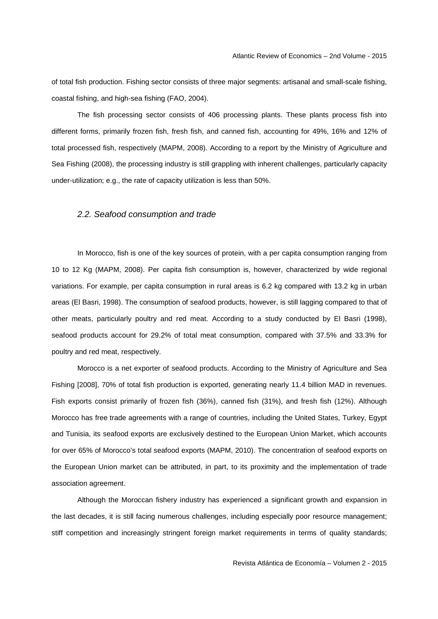of total fish production. Fishing sector consists of three major segments: artisanal and small-scale fishing, coastal fishing, and high-sea fishing (FAO, 2004).

The fish processing sector consists of 406 processing plants. These plants process fish into different forms, primarily frozen fish, fresh fish, and canned fish, accounting for 49%, 16% and 12% of total processed fish, respectively (MAPM, 2008). According to a report by the Ministry of Agriculture and Sea Fishing (2008), the processing industry is still grappling with inherent challenges, particularly capacity under-utilization; e.g., the rate of capacity utilization is less than 50%.

## 2.2. Seafood consumption and trade

In Morocco, fish is one of the key sources of protein, with a per capita consumption ranging from 10 to 12 Kg (MAPM, 2008). Per capita fish consumption is, however, characterized by wide regional variations. For example, per capita consumption in rural areas is 6.2 kg compared with 13.2 kg in urban areas (El Basri, 1998). The consumption of seafood products, however, is still lagging compared to that of other meats, particularly poultry and red meat. According to a study conducted by El Basri (1998), seafood products account for 29.2% of total meat consumption, compared with 37.5% and 33.3% for poultry and red meat, respectively.

Morocco is a net exporter of seafood products. According to the Ministry of Agriculture and Sea Fishing [2008], 70% of total fish production is exported, generating nearly 11.4 billion MAD in revenues. Fish exports consist primarily of frozen fish (36%), canned fish (31%), and fresh fish (12%). Although Morocco has free trade agreements with a range of countries, including the United States, Turkey, Egypt and Tunisia, its seafood exports are exclusively destined to the European Union Market, which accounts for over 65% of Morocco's total seafood exports (MAPM, 2010). The concentration of seafood exports on the European Union market can be attributed, in part, to its proximity and the implementation of trade association agreement.

Although the Moroccan fishery industry has experienced a significant growth and expansion in the last decades, it is still facing numerous challenges, including especially poor resource management; stiff competition and increasingly stringent foreign market requirements in terms of quality standards;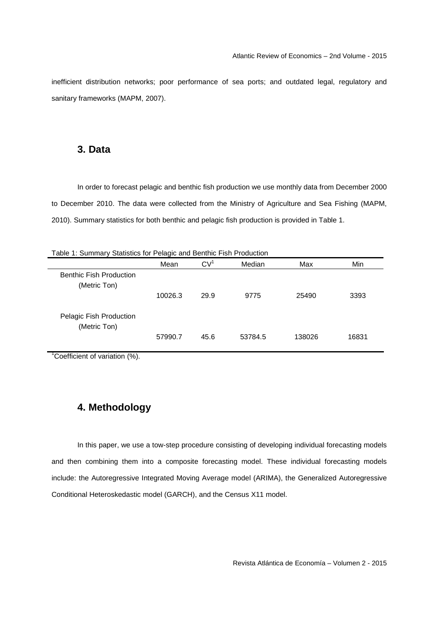inefficient distribution networks; poor performance of sea ports; and outdated legal, regulatory and sanitary frameworks (MAPM, 2007).

## **3. Data**

 In order to forecast pelagic and benthic fish production we use monthly data from December 2000 to December 2010. The data were collected from the Ministry of Agriculture and Sea Fishing (MAPM, 2010). Summary statistics for both benthic and pelagic fish production is provided in Table 1.

|                                                | Mean    | CV <sup>1</sup> | Median  | Max    | Min   |
|------------------------------------------------|---------|-----------------|---------|--------|-------|
| <b>Benthic Fish Production</b><br>(Metric Ton) |         |                 |         |        |       |
|                                                | 10026.3 | 29.9            | 9775    | 25490  | 3393  |
| Pelagic Fish Production<br>(Metric Ton)        |         |                 |         |        |       |
|                                                | 57990.7 | 45.6            | 53784.5 | 138026 | 16831 |

Table 1: Summary Statistics for Pelagic and Benthic Fish Production

<sup>1</sup>Coefficient of variation (%).

# **4. Methodology**

 In this paper, we use a tow-step procedure consisting of developing individual forecasting models and then combining them into a composite forecasting model. These individual forecasting models include: the Autoregressive Integrated Moving Average model (ARIMA), the Generalized Autoregressive Conditional Heteroskedastic model (GARCH), and the Census X11 model.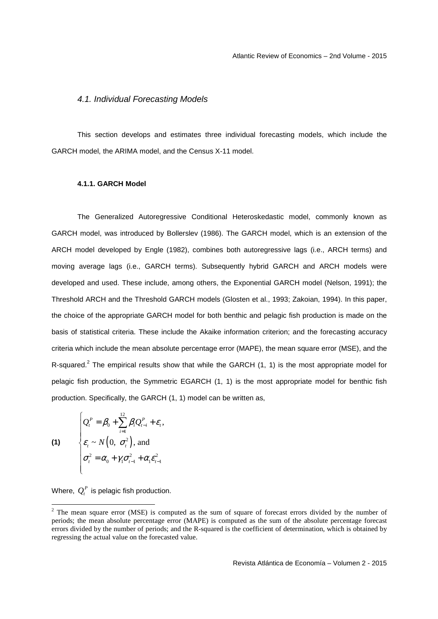#### 4.1. Individual Forecasting Models

 This section develops and estimates three individual forecasting models, which include the GARCH model, the ARIMA model, and the Census X-11 model.

#### **4.1.1. GARCH Model**

 The Generalized Autoregressive Conditional Heteroskedastic model, commonly known as GARCH model, was introduced by Bollerslev (1986). The GARCH model, which is an extension of the ARCH model developed by Engle (1982), combines both autoregressive lags (i.e., ARCH terms) and moving average lags (i.e., GARCH terms). Subsequently hybrid GARCH and ARCH models were developed and used. These include, among others, the Exponential GARCH model (Nelson, 1991); the Threshold ARCH and the Threshold GARCH models (Glosten et al., 1993; Zakoian, 1994). In this paper, the choice of the appropriate GARCH model for both benthic and pelagic fish production is made on the basis of statistical criteria. These include the Akaike information criterion; and the forecasting accuracy criteria which include the mean absolute percentage error (MAPE), the mean square error (MSE), and the R-squared.<sup>2</sup> The empirical results show that while the GARCH  $(1, 1)$  is the most appropriate model for pelagic fish production, the Symmetric EGARCH (1, 1) is the most appropriate model for benthic fish production. Specifically, the GARCH (1, 1) model can be written as,

(1)  
\n
$$
\begin{cases}\nQ_t^P = \beta_0 + \sum_{i=1}^{12} \beta_i Q_{t-i}^P + \varepsilon_t, \\
\varepsilon_t \sim N\left(0, \sigma_t^2\right), \text{ and} \\
\sigma_t^2 = \alpha_0 + \gamma_1 \sigma_{t-1}^2 + \alpha_t \varepsilon_{t-1}^2\n\end{cases}
$$

Where,  $Q_t^P$  is pelagic fish production.

<sup>&</sup>lt;sup>2</sup> The mean square error (MSE) is computed as the sum of square of forecast errors divided by the number of periods; the mean absolute percentage error (MAPE) is computed as the sum of the absolute percentage forecast errors divided by the number of periods; and the R-squared is the coefficient of determination, which is obtained by regressing the actual value on the forecasted value.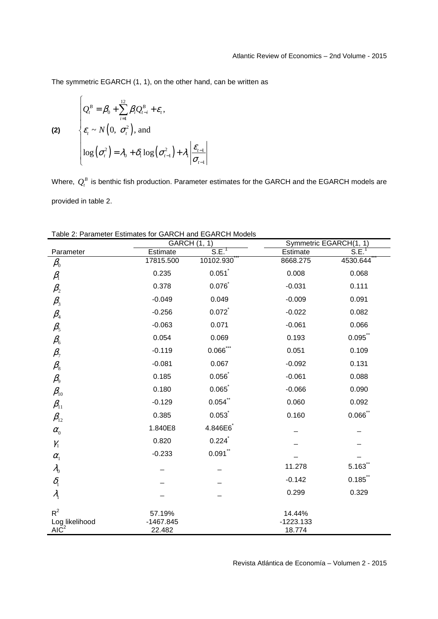The symmetric EGARCH (1, 1), on the other hand, can be written as

(2)  
\n
$$
\begin{cases}\nQ_t^B = \beta_0 + \sum_{i=1}^{12} \beta_i Q_{t-i}^B + \varepsilon_t, \\
\varepsilon_t \sim N\left(0, \sigma_t^2\right), \text{ and} \\
\log\left(\sigma_t^2\right) = \lambda_0 + \delta_1 \log\left(\sigma_{t-1}^2\right) + \lambda_1 \left|\frac{\varepsilon_{t-1}}{\sigma_{t-1}}\right.\n\end{cases}
$$

Where,  $\mathcal{Q}^{\scriptscriptstyle B}_{\scriptscriptstyle t}$  is benthic fish production. Parameter estimates for the GARCH and the EGARCH models are provided in table 2.

|                                       |                       | GARCH (1, 1) | Symmetric EGARCH(1, 1) |                   |
|---------------------------------------|-----------------------|--------------|------------------------|-------------------|
| Parameter                             | Estimate              | $SE^1$       | Estimate               | S.E. <sup>T</sup> |
| $\beta_{\raisebox{-0.75pt}{\tiny 0}}$ | 17815.500             | 10102.930    | 8668.275               | 4530.644          |
| $\beta_{\!\scriptscriptstyle 1}$      | 0.235                 | 0.051        | 0.008                  | 0.068             |
| $\beta_{\scriptscriptstyle 2}$        | 0.378                 | 0.076        | $-0.031$               | 0.111             |
| $\beta_{3}$                           | $-0.049$              | 0.049        | $-0.009$               | 0.091             |
| $\beta_{\scriptscriptstyle 4}$        | $-0.256$              | 0.072        | $-0.022$               | 0.082             |
| $\beta_{\scriptscriptstyle{5}}$       | $-0.063$              | 0.071        | $-0.061$               | 0.066             |
| $\beta_{\!\scriptscriptstyle 6}$      | 0.054                 | 0.069        | 0.193                  | $0.095$ "         |
| $\beta_{\scriptscriptstyle 7}$        | $-0.119$              | $0.066$ ***  | 0.051                  | 0.109             |
| $\beta_{\scriptscriptstyle 8}$        | $-0.081$              | 0.067        | $-0.092$               | 0.131             |
| $\beta_{\scriptscriptstyle{9}}$       | 0.185                 | 0.056        | $-0.061$               | 0.088             |
| $\beta_{\scriptscriptstyle{10}}$      | 0.180                 | 0.065        | $-0.066$               | 0.090             |
| $\beta_{11}$                          | $-0.129$              | $0.054$ **   | 0.060                  | 0.092             |
| $\beta_{12}$                          | 0.385                 | 0.053        | 0.160                  | $0.066$ **        |
| $\alpha_{0}$                          | 1.840E8               | 4.846E6      |                        |                   |
| $\gamma_{\scriptscriptstyle 1}$       | 0.820                 | 0.224        |                        |                   |
| $\alpha_{1}$                          | $-0.233$              | $0.091$ **   |                        |                   |
| $\lambda_{0}$                         |                       |              | 11.278                 | 5.163             |
| $\delta_{\rm i}$                      |                       |              | $-0.142$               | 0.185             |
| $\lambda_{1}$                         |                       |              | 0.299                  | 0.329             |
| $R^2$                                 | 57.19%                |              | 14.44%                 |                   |
| Log likelihood<br>$AI\check{C}^2$     | $-1467.845$<br>22.482 |              | $-1223.133$<br>18.774  |                   |

Table 2: Parameter Estimates for GARCH and EGARCH Models

Revista Atlántica de Economía – Volumen 2 - 2015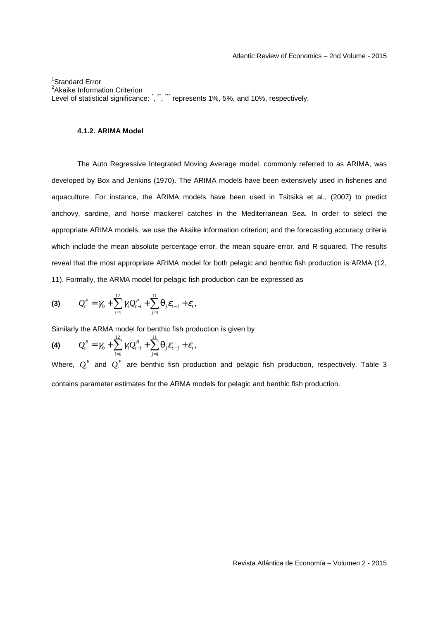1 Standard Error <sup>2</sup> Akaike Information Criterion Level of statistical significance: `, ``, ``` represents 1%, 5%, and 10%, respectively.

#### **4.1.2. ARIMA Model**

 The Auto Regressive Integrated Moving Average model, commonly referred to as ARIMA, was developed by Box and Jenkins (1970). The ARIMA models have been extensively used in fisheries and aquaculture. For instance, the ARIMA models have been used in Tsitsika et al., (2007) to predict anchovy, sardine, and horse mackerel catches in the Mediterranean Sea. In order to select the appropriate ARIMA models, we use the Akaike information criterion; and the forecasting accuracy criteria which include the mean absolute percentage error, the mean square error, and R-squared. The results reveal that the most appropriate ARIMA model for both pelagic and benthic fish production is ARMA (12, 11). Formally, the ARMA model for pelagic fish production can be expressed as

(3) 
$$
Q_t^P = \gamma_0 + \sum_{i=1}^{12} \gamma_i Q_{t-i}^P + \sum_{j=1}^{11} \theta_j \varepsilon_{t-j} + \varepsilon_t,
$$

Similarly the ARMA model for benthic fish production is given by

(4) 
$$
Q_t^B = \gamma_0 + \sum_{i=1}^{12} \gamma_i Q_{t-i}^B + \sum_{j=1}^{11} \theta_j \varepsilon_{t-j} + \varepsilon_t,
$$

Where,  $Q_t^B$  and  $Q_t^P$  are benthic fish production and pelagic fish production, respectively. Table 3 contains parameter estimates for the ARMA models for pelagic and benthic fish production.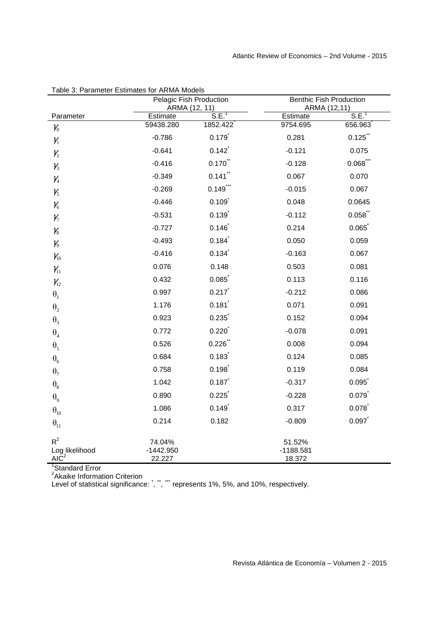|                                                                  | Pelagic Fish Production<br>ARMA (12, 11) |                       |                       | <b>Benthic Fish Production</b><br>ARMA (12,11) |  |
|------------------------------------------------------------------|------------------------------------------|-----------------------|-----------------------|------------------------------------------------|--|
| Parameter                                                        | Estimate                                 | S.E. <sup>1</sup>     | Estimate              | S.E. <sup>1</sup>                              |  |
| $\mathcal{Y}_0$                                                  | 59438.280                                | 1852.422              | 9754.695              | 656.963                                        |  |
| $\gamma_{\scriptscriptstyle 1}$                                  | $-0.786$                                 | 0.179                 | 0.281                 | 0.125                                          |  |
| $\mathcal{Y}_2$                                                  | $-0.641$                                 | 0.142                 | $-0.121$              | 0.075                                          |  |
| $\mathcal{V}_3$                                                  | $-0.416$                                 | $0.170$ **            | $-0.128$              | $0.068$ ***                                    |  |
| $\gamma_{\scriptscriptstyle 4}$                                  | $-0.349$                                 | $0.141$ <sup>**</sup> | 0.067                 | 0.070                                          |  |
| $\gamma_{5}$                                                     | $-0.269$                                 | $0.149$ ***           | $-0.015$              | 0.067                                          |  |
| $\gamma_{\scriptscriptstyle 6}$                                  | $-0.446$                                 | 0.109                 | 0.048                 | 0.0645                                         |  |
| $\gamma_{7}$                                                     | $-0.531$                                 | 0.139                 | $-0.112$              | 0.058                                          |  |
| $\mathcal{V}_8$                                                  | $-0.727$                                 | 0.146                 | 0.214                 | 0.065                                          |  |
| $\mathcal{V}_9$                                                  | $-0.493$                                 | 0.184                 | 0.050                 | 0.059                                          |  |
| $\mathcal{Y}_{10}$                                               | $-0.416$                                 | 0.134                 | $-0.163$              | 0.067                                          |  |
| $\gamma_{11}$                                                    | 0.076                                    | 0.148                 | 0.503                 | 0.081                                          |  |
| $\gamma_{12}$                                                    | 0.432                                    | 0.085                 | 0.113                 | 0.116                                          |  |
| $\boldsymbol{\theta}_1$                                          | 0.997                                    | 0.217                 | $-0.212$              | 0.086                                          |  |
| $\boldsymbol{\theta}_2$                                          | 1.176                                    | 0.181                 | 0.071                 | 0.091                                          |  |
| $\theta_3$                                                       | 0.923                                    | 0.235                 | 0.152                 | 0.094                                          |  |
| $\theta_4$                                                       | 0.772                                    | 0.220                 | $-0.078$              | 0.091                                          |  |
| $\theta_{5}$                                                     | 0.526                                    | 0.226                 | 0.008                 | 0.094                                          |  |
| $\boldsymbol{\theta}_6$                                          | 0.684                                    | 0.183                 | 0.124                 | 0.085                                          |  |
| $\theta$ <sub>7</sub>                                            | 0.758                                    | 0.198                 | 0.119                 | 0.084                                          |  |
| $\theta_{8}$                                                     | 1.042                                    | 0.187                 | $-0.317$              | 0.095                                          |  |
| $\theta_{9}$                                                     | 0.890                                    | 0.225                 | $-0.228$              | 0.079                                          |  |
| $\boldsymbol{\theta}_{10}$                                       | 1.086                                    | 0.149                 | 0.317                 | 0.078                                          |  |
| $\theta_{11}$                                                    | 0.214                                    | 0.182                 | $-0.809$              | 0.097                                          |  |
| $R^2$                                                            | 74.04%                                   |                       | 51.52%                |                                                |  |
| Log likelihood<br>$AI\check{C}^2$<br><sup>1</sup> Standard Error | $-1442.950$<br>22.227                    |                       | $-1188.581$<br>18.372 |                                                |  |

| Table 3: Parameter Estimates for ARMA Models |  |
|----------------------------------------------|--|
|----------------------------------------------|--|

Level of statistical significance: `, ``, ``` represents 1%, 5%, and 10%, respectively.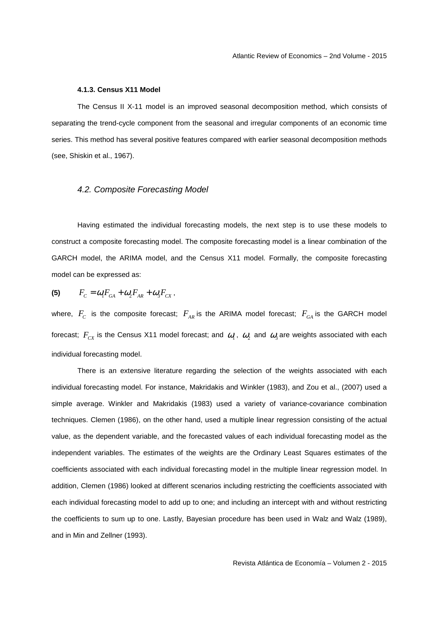#### **4.1.3. Census X11 Model**

 The Census II X-11 model is an improved seasonal decomposition method, which consists of separating the trend-cycle component from the seasonal and irregular components of an economic time series. This method has several positive features compared with earlier seasonal decomposition methods (see, Shiskin et al., 1967).

## 4.2. Composite Forecasting Model

 Having estimated the individual forecasting models, the next step is to use these models to construct a composite forecasting model. The composite forecasting model is a linear combination of the GARCH model, the ARIMA model, and the Census X11 model. Formally, the composite forecasting model can be expressed as:

(5) 
$$
F_C = \omega_1 F_{GA} + \omega_2 F_{AR} + \omega_3 F_{CX},
$$

where,  $F_c$  is the composite forecast;  $F_{_{AR}}$  is the ARIMA model forecast;  $F_{_{GA}}$  is the GARCH model forecast;  $F_{cx}$  is the Census X11 model forecast; and  $\omega_1$ ,  $\omega_2$  and  $\omega_3$  are weights associated with each individual forecasting model.

There is an extensive literature regarding the selection of the weights associated with each individual forecasting model. For instance, Makridakis and Winkler (1983), and Zou et al., (2007) used a simple average. Winkler and Makridakis (1983) used a variety of variance-covariance combination techniques. Clemen (1986), on the other hand, used a multiple linear regression consisting of the actual value, as the dependent variable, and the forecasted values of each individual forecasting model as the independent variables. The estimates of the weights are the Ordinary Least Squares estimates of the coefficients associated with each individual forecasting model in the multiple linear regression model. In addition, Clemen (1986) looked at different scenarios including restricting the coefficients associated with each individual forecasting model to add up to one; and including an intercept with and without restricting the coefficients to sum up to one. Lastly, Bayesian procedure has been used in Walz and Walz (1989), and in Min and Zellner (1993).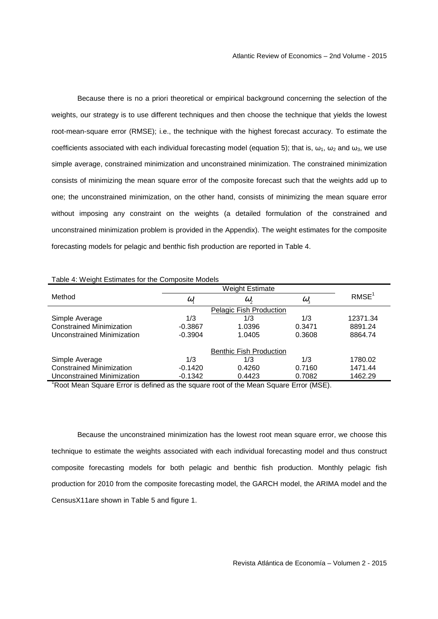Because there is no a priori theoretical or empirical background concerning the selection of the weights, our strategy is to use different techniques and then choose the technique that yields the lowest root-mean-square error (RMSE); i.e., the technique with the highest forecast accuracy. To estimate the coefficients associated with each individual forecasting model (equation 5); that is,  $\omega_1$ ,  $\omega_2$  and  $\omega_3$ , we use simple average, constrained minimization and unconstrained minimization. The constrained minimization consists of minimizing the mean square error of the composite forecast such that the weights add up to one; the unconstrained minimization, on the other hand, consists of minimizing the mean square error without imposing any constraint on the weights (a detailed formulation of the constrained and unconstrained minimization problem is provided in the Appendix). The weight estimates for the composite forecasting models for pelagic and benthic fish production are reported in Table 4.

| able 4. Weight Estimates for the Composite Models |                     |                                |                  |                   |
|---------------------------------------------------|---------------------|--------------------------------|------------------|-------------------|
|                                                   |                     |                                |                  |                   |
| Method                                            | $\omega_{\text{I}}$ | $\omega$ ,                     | $\omega_{\rm s}$ | RMSE <sup>1</sup> |
|                                                   |                     | Pelagic Fish Production        |                  |                   |
| Simple Average                                    | 1/3                 | 1/3                            | 1/3              | 12371.34          |
| <b>Constrained Minimization</b>                   | $-0.3867$           | 1.0396                         | 0.3471           | 8891.24           |
| Unconstrained Minimization                        | $-0.3904$           | 1.0405                         | 0.3608           | 8864.74           |
|                                                   |                     | <b>Benthic Fish Production</b> |                  |                   |
| Simple Average                                    | 1/3                 | 1/3                            | 1/3              | 1780.02           |
| <b>Constrained Minimization</b>                   | $-0.1420$           | 0.4260                         | 0.7160           | 1471.44           |
| Unconstrained Minimization                        | $-0.1342$           | 0.4423                         | 0.7082           | 1462.29           |

## Table 4: Weight Estimates for the Composite Models

<sup>1</sup>Root Mean Square Error is defined as the square root of the Mean Square Error (MSE).

 Because the unconstrained minimization has the lowest root mean square error, we choose this technique to estimate the weights associated with each individual forecasting model and thus construct composite forecasting models for both pelagic and benthic fish production. Monthly pelagic fish production for 2010 from the composite forecasting model, the GARCH model, the ARIMA model and the CensusX11are shown in Table 5 and figure 1.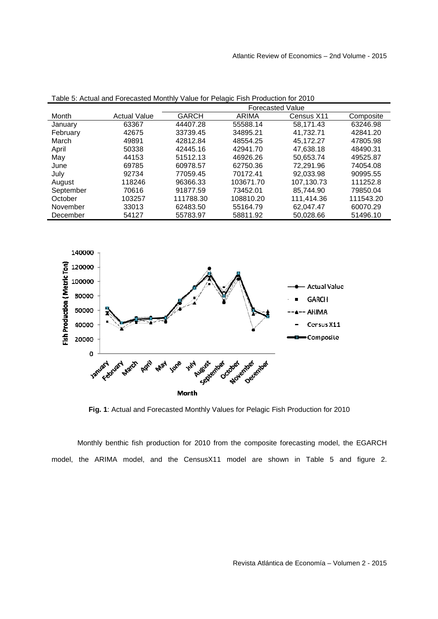|           |                     |              | <b>Forecasted Value</b> |            |           |
|-----------|---------------------|--------------|-------------------------|------------|-----------|
| Month     | <b>Actual Value</b> | <b>GARCH</b> | ARIMA                   | Census X11 | Composite |
| January   | 63367               | 44407.28     | 55588.14                | 58.171.43  | 63246.98  |
| February  | 42675               | 33739.45     | 34895.21                | 41.732.71  | 42841.20  |
| March     | 49891               | 42812.84     | 48554.25                | 45.172.27  | 47805.98  |
| April     | 50338               | 42445.16     | 42941.70                | 47.638.18  | 48490.31  |
| May       | 44153               | 51512.13     | 46926.26                | 50.653.74  | 49525.87  |
| June      | 69785               | 60978.57     | 62750.36                | 72.291.96  | 74054.08  |
| July      | 92734               | 77059.45     | 70172.41                | 92.033.98  | 90995.55  |
| August    | 118246              | 96366.33     | 103671.70               | 107.130.73 | 111252.8  |
| September | 70616               | 91877.59     | 73452.01                | 85.744.90  | 79850.04  |
| October   | 103257              | 111788.30    | 108810.20               | 111.414.36 | 111543.20 |
| November  | 33013               | 62483.50     | 55164.79                | 62.047.47  | 60070.29  |
| December  | 54127               | 55783.97     | 58811.92                | 50,028.66  | 51496.10  |
|           |                     |              |                         |            |           |

Table 5: Actual and Forecasted Monthly Value for Pelagic Fish Production for 2010



**Fig. 1**: Actual and Forecasted Monthly Values for Pelagic Fish Production for 2010

 Monthly benthic fish production for 2010 from the composite forecasting model, the EGARCH model, the ARIMA model, and the CensusX11 model are shown in Table 5 and figure 2.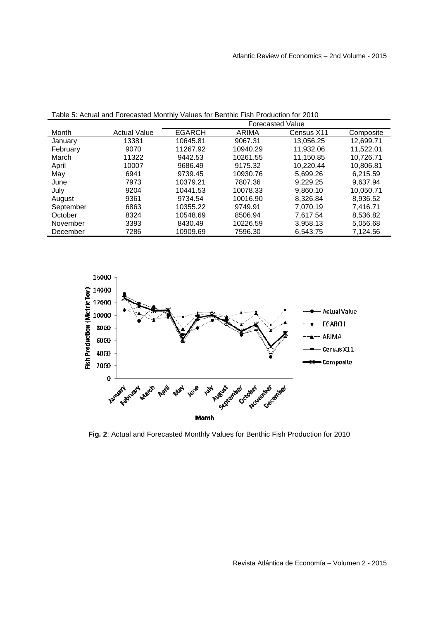|           |                     |               |          | <b>Forecasted Value</b> |           |
|-----------|---------------------|---------------|----------|-------------------------|-----------|
| Month     | <b>Actual Value</b> | <b>EGARCH</b> | ARIMA    | Census X11              | Composite |
| January   | 13381               | 10645.81      | 9067.31  | 13,056.25               | 12,699.71 |
| February  | 9070                | 11267.92      | 10940.29 | 11,932.06               | 11.522.01 |
| March     | 11322               | 9442.53       | 10261.55 | 11,150.85               | 10,726.71 |
| April     | 10007               | 9686.49       | 9175.32  | 10,220.44               | 10,806.81 |
| May       | 6941                | 9739.45       | 10930.76 | 5.699.26                | 6.215.59  |
| June      | 7973                | 10379.21      | 7807.36  | 9.229.25                | 9.637.94  |
| July      | 9204                | 10441.53      | 10078.33 | 9,860.10                | 10,050.71 |
| August    | 9361                | 9734.54       | 10016.90 | 8.326.84                | 8,936.52  |
| September | 6863                | 10355.22      | 9749.91  | 7.070.19                | 7,416.71  |
| October   | 8324                | 10548.69      | 8506.94  | 7.617.54                | 8.536.82  |
| November  | 3393                | 8430.49       | 10226.59 | 3,958.13                | 5,056.68  |
| December  | 7286                | 10909.69      | 7596.30  | 6,543.75                | 7,124.56  |

Table 5: Actual and Forecasted Monthly Values for Benthic Fish Production for 2010



**Fig. 2**: Actual and Forecasted Monthly Values for Benthic Fish Production for 2010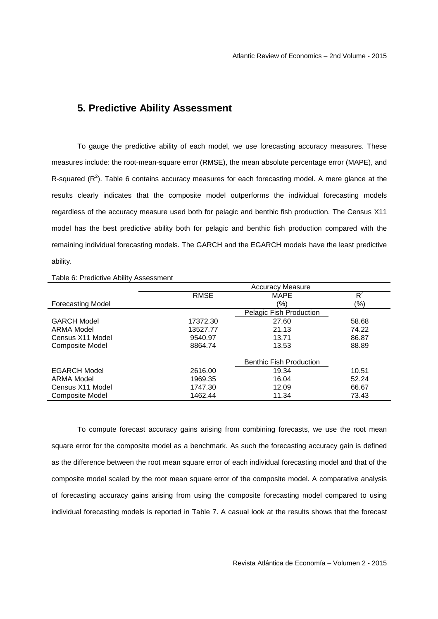# **5. Predictive Ability Assessment**

 To gauge the predictive ability of each model, we use forecasting accuracy measures. These measures include: the root-mean-square error (RMSE), the mean absolute percentage error (MAPE), and R-squared ( $R^2$ ). Table 6 contains accuracy measures for each forecasting model. A mere glance at the results clearly indicates that the composite model outperforms the individual forecasting models regardless of the accuracy measure used both for pelagic and benthic fish production. The Census X11 model has the best predictive ability both for pelagic and benthic fish production compared with the remaining individual forecasting models. The GARCH and the EGARCH models have the least predictive ability.

|                          | <b>Accuracy Measure</b> |                                |       |
|--------------------------|-------------------------|--------------------------------|-------|
|                          | <b>RMSE</b>             | <b>MAPE</b>                    | $R^2$ |
| <b>Forecasting Model</b> |                         | (%)                            | (%)   |
|                          |                         | Pelagic Fish Production        |       |
| <b>GARCH Model</b>       | 17372.30                | 27.60                          | 58.68 |
| ARMA Model               | 13527.77                | 21.13                          | 74.22 |
| Census X11 Model         | 9540.97                 | 13.71                          | 86.87 |
| <b>Composite Model</b>   | 8864.74                 | 13.53                          | 88.89 |
|                          |                         | <b>Benthic Fish Production</b> |       |
| <b>EGARCH Model</b>      | 2616.00                 | 19.34                          | 10.51 |
| ARMA Model               | 1969.35                 | 16.04                          | 52.24 |
| Census X11 Model         | 1747.30                 | 12.09                          | 66.67 |
| Composite Model          | 1462.44                 | 11.34                          | 73.43 |

Table 6: Predictive Ability Assessment

 To compute forecast accuracy gains arising from combining forecasts, we use the root mean square error for the composite model as a benchmark. As such the forecasting accuracy gain is defined as the difference between the root mean square error of each individual forecasting model and that of the composite model scaled by the root mean square error of the composite model. A comparative analysis of forecasting accuracy gains arising from using the composite forecasting model compared to using individual forecasting models is reported in Table 7. A casual look at the results shows that the forecast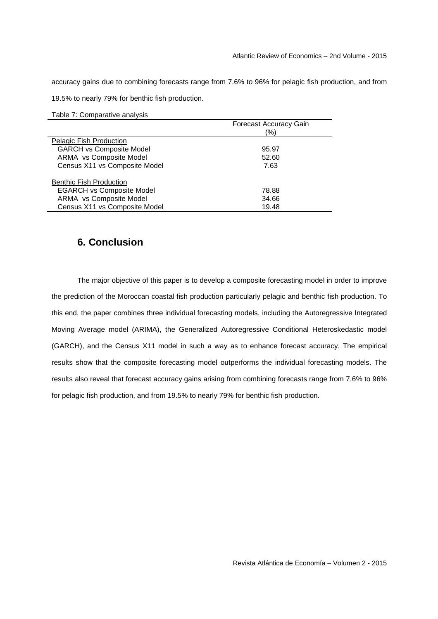accuracy gains due to combining forecasts range from 7.6% to 96% for pelagic fish production, and from

19.5% to nearly 79% for benthic fish production.

|  |  | Table 7: Comparative analysis |  |
|--|--|-------------------------------|--|
|--|--|-------------------------------|--|

|                                  | <b>Forecast Accuracy Gain</b> |
|----------------------------------|-------------------------------|
|                                  | (%)                           |
| Pelagic Fish Production          |                               |
| <b>GARCH vs Composite Model</b>  | 95.97                         |
| ARMA vs Composite Model          | 52.60                         |
| Census X11 vs Composite Model    | 7.63                          |
| <b>Benthic Fish Production</b>   |                               |
| <b>EGARCH vs Composite Model</b> | 78.88                         |
| ARMA vs Composite Model          | 34.66                         |
| Census X11 vs Composite Model    | 19.48                         |

# **6. Conclusion**

 The major objective of this paper is to develop a composite forecasting model in order to improve the prediction of the Moroccan coastal fish production particularly pelagic and benthic fish production. To this end, the paper combines three individual forecasting models, including the Autoregressive Integrated Moving Average model (ARIMA), the Generalized Autoregressive Conditional Heteroskedastic model (GARCH), and the Census X11 model in such a way as to enhance forecast accuracy. The empirical results show that the composite forecasting model outperforms the individual forecasting models. The results also reveal that forecast accuracy gains arising from combining forecasts range from 7.6% to 96% for pelagic fish production, and from 19.5% to nearly 79% for benthic fish production.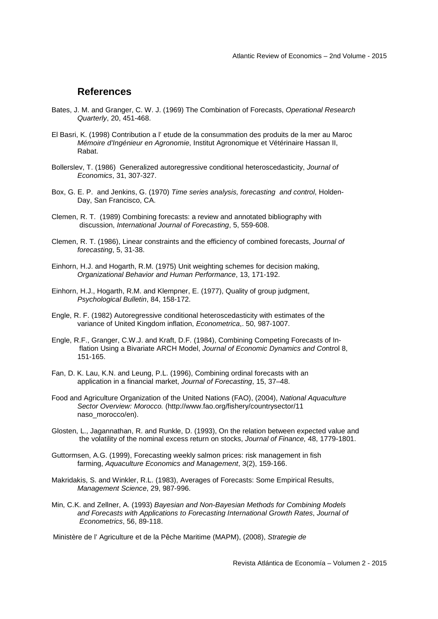# **References**

- Bates, J. M. and Granger, C. W. J. (1969) The Combination of Forecasts, Operational Research Quarterly, 20, 451-468.
- El Basri, K. (1998) Contribution a l' etude de la consummation des produits de la mer au Maroc Mémoire d'Ingénieur en Agronomie, Institut Agronomique et Vétérinaire Hassan II, Rabat.
- Bollerslev, T. (1986) Generalized autoregressive conditional heteroscedasticity, Journal of Economics, 31, 307-327.
- Box, G. E. P. and Jenkins, G. (1970) Time series analysis, forecasting and control, Holden-Day, San Francisco, CA.
- Clemen, R. T. (1989) Combining forecasts: a review and annotated bibliography with discussion, International Journal of Forecasting, 5, 559-608.
- Clemen, R. T. (1986), Linear constraints and the efficiency of combined forecasts, Journal of forecasting, 5, 31-38.
- Einhorn, H.J. and Hogarth, R.M. (1975) Unit weighting schemes for decision making, Organizational Behavior and Human Performance, 13, 171-192.
- Einhorn, H.J., Hogarth, R.M. and Klempner, E. (1977), Quality of group judgment, Psychological Bulletin, 84, 158-172.
- Engle, R. F. (1982) Autoregressive conditional heteroscedasticity with estimates of the variance of United Kingdom inflation, Econometrica,. 50, 987-1007.
- Engle, R.F., Granger, C.W.J. and Kraft, D.F. (1984), Combining Competing Forecasts of In flation Using a Bivariate ARCH Model, Journal of Economic Dynamics and Control 8, 151-165.
- Fan, D. K. Lau, K.N. and Leung, P.L. (1996), Combining ordinal forecasts with an application in a financial market, Journal of Forecasting, 15, 37–48.
- Food and Agriculture Organization of the United Nations (FAO), (2004), National Aquaculture Sector Overview: Morocco. (http://www.fao.org/fishery/countrysector/11 naso\_morocco/en).
- Glosten, L., Jagannathan, R. and Runkle, D. (1993), On the relation between expected value and the volatility of the nominal excess return on stocks, Journal of Finance, 48, 1779-1801.
- Guttormsen, A.G. (1999), Forecasting weekly salmon prices: risk management in fish farming, Aquaculture Economics and Management, 3(2), 159-166.
- Makridakis, S. and Winkler, R.L. (1983), Averages of Forecasts: Some Empirical Results, Management Science, 29, 987-996.
- Min, C.K. and Zellner, A. (1993) Bayesian and Non-Bayesian Methods for Combining Models and Forecasts with Applications to Forecasting International Growth Rates, Journal of Econometrics, 56, 89-118.

Ministère de l' Agriculture et de la Pêche Maritime (MAPM), (2008), Strategie de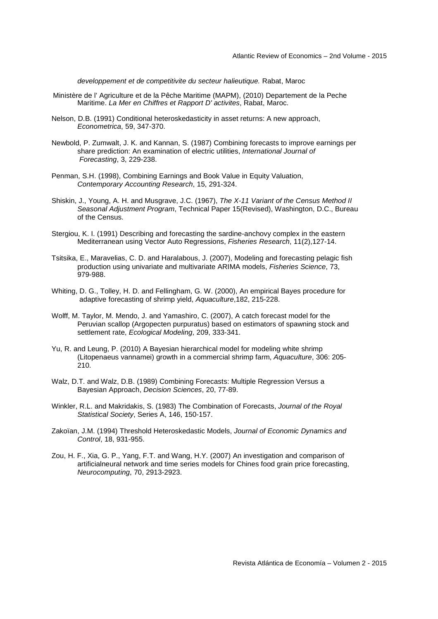developpement et de competitivite du secteur halieutique. Rabat, Maroc

- Ministère de l' Agriculture et de la Pêche Maritime (MAPM), (2010) Departement de la Peche Maritime. La Mer en Chiffres et Rapport D' activites, Rabat, Maroc.
- Nelson, D.B. (1991) Conditional heteroskedasticity in asset returns: A new approach, Econometrica, 59, 347-370.
- Newbold, P. Zumwalt, J. K. and Kannan, S. (1987) Combining forecasts to improve earnings per share prediction: An examination of electric utilities, International Journal of Forecasting, 3, 229-238.
- Penman, S.H. (1998), Combining Earnings and Book Value in Equity Valuation, Contemporary Accounting Research, 15, 291-324.
- Shiskin, J., Young, A. H. and Musgrave, J.C. (1967), The X-11 Variant of the Census Method II Seasonal Adjustment Program, Technical Paper 15(Revised), Washington, D.C., Bureau of the Census.
- Stergiou, K. I. (1991) Describing and forecasting the sardine-anchovy complex in the eastern Mediterranean using Vector Auto Regressions, Fisheries Research, 11(2),127-14.
- Tsitsika, E., Maravelias, C. D. and Haralabous, J. (2007), Modeling and forecasting pelagic fish production using univariate and multivariate ARIMA models, Fisheries Science, 73, 979-988.
- Whiting, D. G., Tolley, H. D. and Fellingham, G. W. (2000), An empirical Bayes procedure for adaptive forecasting of shrimp yield, Aquaculture,182, 215-228.
- Wolff, M. Taylor, M. Mendo, J. and Yamashiro, C. (2007), A catch forecast model for the Peruvian scallop (Argopecten purpuratus) based on estimators of spawning stock and settlement rate, Ecological Modeling, 209, 333-341.
- Yu, R. and Leung, P. (2010) A Bayesian hierarchical model for modeling white shrimp (Litopenaeus vannamei) growth in a commercial shrimp farm, Aquaculture, 306: 205- 210.
- Walz, D.T. and Walz, D.B. (1989) Combining Forecasts: Multiple Regression Versus a Bayesian Approach, Decision Sciences, 20, 77-89.
- Winkler, R.L. and Makridakis, S. (1983) The Combination of Forecasts, Journal of the Royal Statistical Society, Series A, 146, 150-157.
- Zakoïan, J.M. (1994) Threshold Heteroskedastic Models, Journal of Economic Dynamics and Control, 18, 931-955.
- Zou, H. F., Xia, G. P., Yang, F.T. and Wang, H.Y. (2007) An investigation and comparison of artificialneural network and time series models for Chines food grain price forecasting, Neurocomputing, 70, 2913-2923.